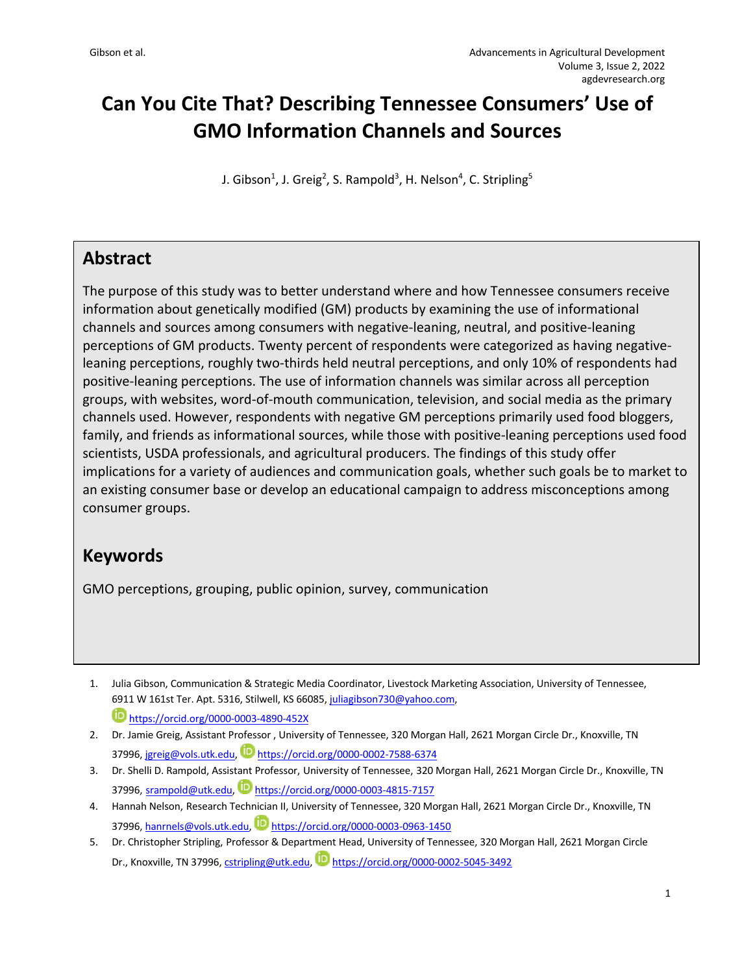# **Can You Cite That? Describing Tennessee Consumers' Use of GMO Information Channels and Sources**

J. Gibson<sup>1</sup>, J. Greig<sup>2</sup>, S. Rampold<sup>3</sup>, H. Nelson<sup>4</sup>, C. Stripling<sup>5</sup>

### **Abstract**

The purpose of this study was to better understand where and how Tennessee consumers receive information about genetically modified (GM) products by examining the use of informational channels and sources among consumers with negative-leaning, neutral, and positive-leaning perceptions of GM products. Twenty percent of respondents were categorized as having negativeleaning perceptions, roughly two-thirds held neutral perceptions, and only 10% of respondents had positive-leaning perceptions. The use of information channels was similar across all perception groups, with websites, word-of-mouth communication, television, and social media as the primary channels used. However, respondents with negative GM perceptions primarily used food bloggers, family, and friends as informational sources, while those with positive-leaning perceptions used food scientists, USDA professionals, and agricultural producers. The findings of this study offer implications for a variety of audiences and communication goals, whether such goals be to market to an existing consumer base or develop an educational campaign to address misconceptions among consumer groups.

# **Keywords**

GMO perceptions, grouping, public opinion, survey, communication

- 1. Julia Gibson, Communication & Strategic Media Coordinator, Livestock Marketing Association, University of Tennessee, 6911 W 161st Ter. Apt. 5316, Stilwell, KS 66085, juliagibson730@yahoo.com, https://orcid.org/0000-0003-4890-452X
- 2. Dr. Jamie Greig, Assistant Professor , University of Tennessee, 320 Morgan Hall, 2621 Morgan Circle Dr., Knoxville, TN 37996, jgreig@vols.utk.edu, https://orcid.org/0000-0002-7588-6374
- 3. Dr. Shelli D. Rampold, Assistant Professor, University of Tennessee, 320 Morgan Hall, 2621 Morgan Circle Dr., Knoxville, TN 37996, srampold@utk.edu, https://orcid.org/0000-0003-4815-7157
- 4. Hannah Nelson, Research Technician II, University of Tennessee, 320 Morgan Hall, 2621 Morgan Circle Dr., Knoxville, TN 37996, hanrnels@vols.utk.edu, D https://orcid.org/0000-0003-0963-1450
- 5. Dr. Christopher Stripling, Professor & Department Head, University of Tennessee, 320 Morgan Hall, 2621 Morgan Circle Dr., Knoxville, TN 37996, cstripling@utk.edu, Dhttps://orcid.org/0000-0002-5045-3492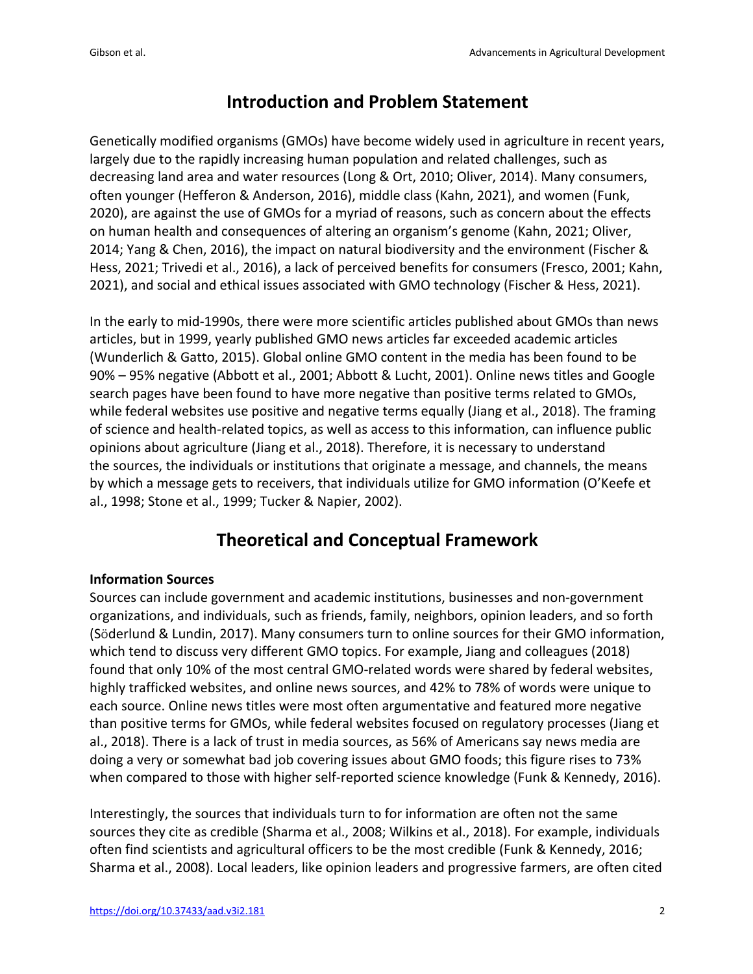### **Introduction and Problem Statement**

Genetically modified organisms (GMOs) have become widely used in agriculture in recent years, largely due to the rapidly increasing human population and related challenges, such as decreasing land area and water resources (Long & Ort, 2010; Oliver, 2014). Many consumers, often younger (Hefferon & Anderson, 2016), middle class (Kahn, 2021), and women (Funk, 2020), are against the use of GMOs for a myriad of reasons, such as concern about the effects on human health and consequences of altering an organism's genome (Kahn, 2021; Oliver, 2014; Yang & Chen, 2016), the impact on natural biodiversity and the environment (Fischer & Hess, 2021; Trivedi et al., 2016), a lack of perceived benefits for consumers (Fresco, 2001; Kahn, 2021), and social and ethical issues associated with GMO technology (Fischer & Hess, 2021).

In the early to mid-1990s, there were more scientific articles published about GMOs than news articles, but in 1999, yearly published GMO news articles far exceeded academic articles (Wunderlich & Gatto, 2015). Global online GMO content in the media has been found to be 90% – 95% negative (Abbott et al., 2001; Abbott & Lucht, 2001). Online news titles and Google search pages have been found to have more negative than positive terms related to GMOs, while federal websites use positive and negative terms equally (Jiang et al., 2018). The framing of science and health-related topics, as well as access to this information, can influence public opinions about agriculture (Jiang et al., 2018). Therefore, it is necessary to understand the sources, the individuals or institutions that originate a message, and channels, the means by which a message gets to receivers, that individuals utilize for GMO information (O'Keefe et al., 1998; Stone et al., 1999; Tucker & Napier, 2002).

# **Theoretical and Conceptual Framework**

#### **Information Sources**

Sources can include government and academic institutions, businesses and non-government organizations, and individuals, such as friends, family, neighbors, opinion leaders, and so forth (Söderlund & Lundin, 2017). Many consumers turn to online sources for their GMO information, which tend to discuss very different GMO topics. For example, Jiang and colleagues (2018) found that only 10% of the most central GMO-related words were shared by federal websites, highly trafficked websites, and online news sources, and 42% to 78% of words were unique to each source. Online news titles were most often argumentative and featured more negative than positive terms for GMOs, while federal websites focused on regulatory processes (Jiang et al., 2018). There is a lack of trust in media sources, as 56% of Americans say news media are doing a very or somewhat bad job covering issues about GMO foods; this figure rises to 73% when compared to those with higher self-reported science knowledge (Funk & Kennedy, 2016).

Interestingly, the sources that individuals turn to for information are often not the same sources they cite as credible (Sharma et al., 2008; Wilkins et al., 2018). For example, individuals often find scientists and agricultural officers to be the most credible (Funk & Kennedy, 2016; Sharma et al., 2008). Local leaders, like opinion leaders and progressive farmers, are often cited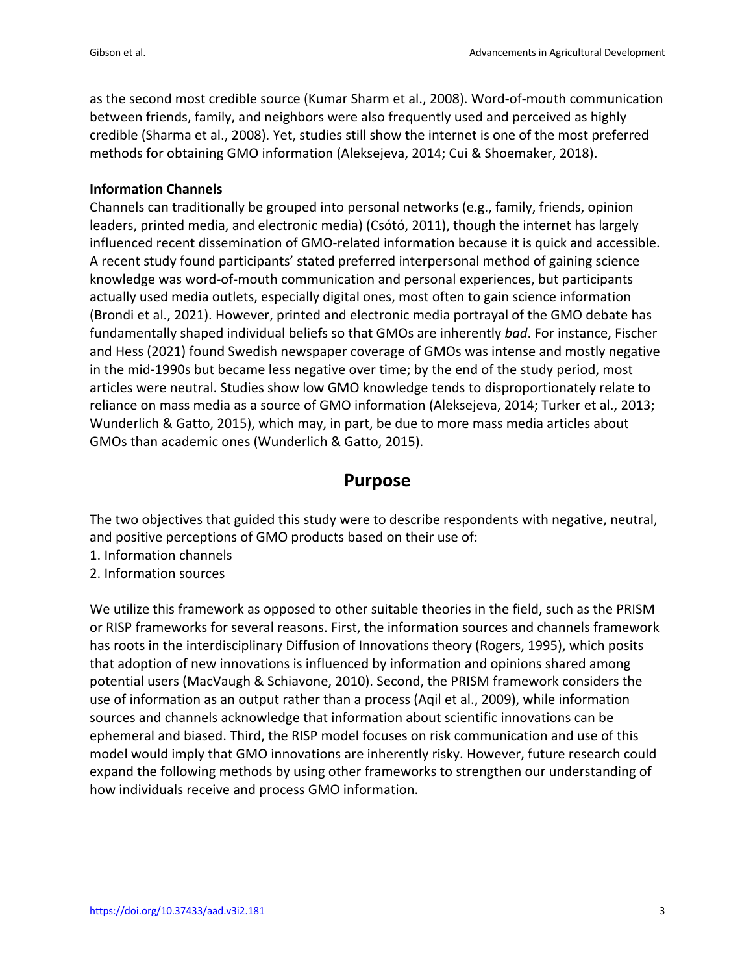as the second most credible source (Kumar Sharm et al., 2008). Word-of-mouth communication between friends, family, and neighbors were also frequently used and perceived as highly credible (Sharma et al., 2008). Yet, studies still show the internet is one of the most preferred methods for obtaining GMO information (Aleksejeva, 2014; Cui & Shoemaker, 2018).

#### **Information Channels**

Channels can traditionally be grouped into personal networks (e.g., family, friends, opinion leaders, printed media, and electronic media) (Csótó, 2011), though the internet has largely influenced recent dissemination of GMO-related information because it is quick and accessible. A recent study found participants' stated preferred interpersonal method of gaining science knowledge was word-of-mouth communication and personal experiences, but participants actually used media outlets, especially digital ones, most often to gain science information (Brondi et al., 2021). However, printed and electronic media portrayal of the GMO debate has fundamentally shaped individual beliefs so that GMOs are inherently *bad*. For instance, Fischer and Hess (2021) found Swedish newspaper coverage of GMOs was intense and mostly negative in the mid-1990s but became less negative over time; by the end of the study period, most articles were neutral. Studies show low GMO knowledge tends to disproportionately relate to reliance on mass media as a source of GMO information (Aleksejeva, 2014; Turker et al., 2013; Wunderlich & Gatto, 2015), which may, in part, be due to more mass media articles about GMOs than academic ones (Wunderlich & Gatto, 2015).

### **Purpose**

The two objectives that guided this study were to describe respondents with negative, neutral, and positive perceptions of GMO products based on their use of:

- 1. Information channels
- 2. Information sources

We utilize this framework as opposed to other suitable theories in the field, such as the PRISM or RISP frameworks for several reasons. First, the information sources and channels framework has roots in the interdisciplinary Diffusion of Innovations theory (Rogers, 1995), which posits that adoption of new innovations is influenced by information and opinions shared among potential users (MacVaugh & Schiavone, 2010). Second, the PRISM framework considers the use of information as an output rather than a process (Aqil et al., 2009), while information sources and channels acknowledge that information about scientific innovations can be ephemeral and biased. Third, the RISP model focuses on risk communication and use of this model would imply that GMO innovations are inherently risky. However, future research could expand the following methods by using other frameworks to strengthen our understanding of how individuals receive and process GMO information.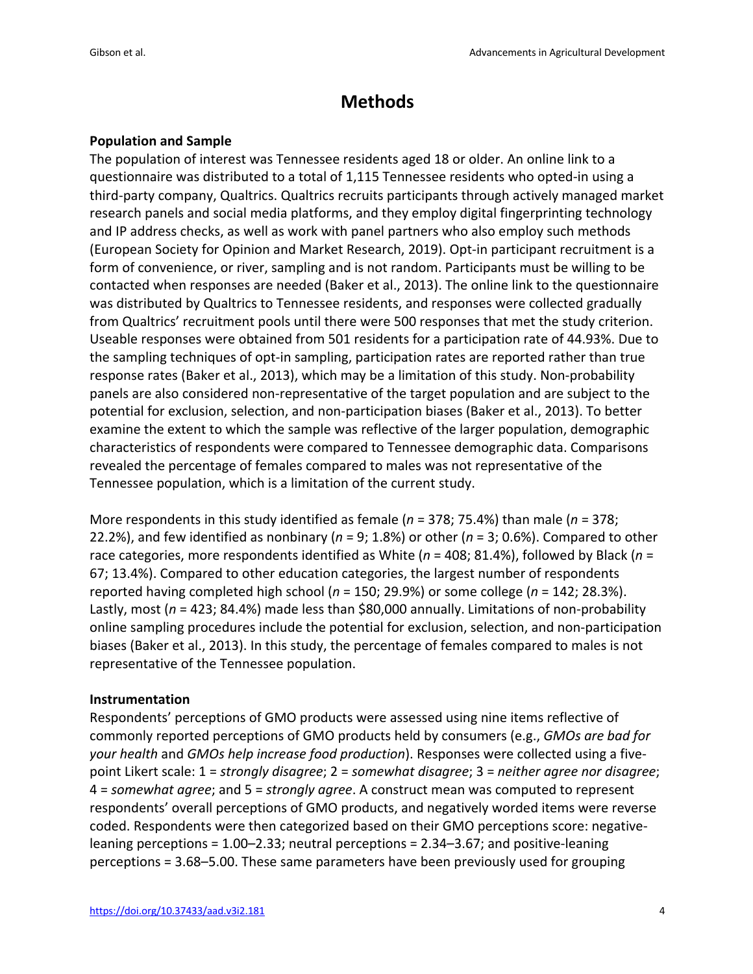# **Methods**

#### **Population and Sample**

The population of interest was Tennessee residents aged 18 or older. An online link to a questionnaire was distributed to a total of 1,115 Tennessee residents who opted-in using a third-party company, Qualtrics. Qualtrics recruits participants through actively managed market research panels and social media platforms, and they employ digital fingerprinting technology and IP address checks, as well as work with panel partners who also employ such methods (European Society for Opinion and Market Research, 2019). Opt-in participant recruitment is a form of convenience, or river, sampling and is not random. Participants must be willing to be contacted when responses are needed (Baker et al., 2013). The online link to the questionnaire was distributed by Qualtrics to Tennessee residents, and responses were collected gradually from Qualtrics' recruitment pools until there were 500 responses that met the study criterion. Useable responses were obtained from 501 residents for a participation rate of 44.93%. Due to the sampling techniques of opt-in sampling, participation rates are reported rather than true response rates (Baker et al., 2013), which may be a limitation of this study. Non-probability panels are also considered non-representative of the target population and are subject to the potential for exclusion, selection, and non-participation biases (Baker et al., 2013). To better examine the extent to which the sample was reflective of the larger population, demographic characteristics of respondents were compared to Tennessee demographic data. Comparisons revealed the percentage of females compared to males was not representative of the Tennessee population, which is a limitation of the current study.

More respondents in this study identified as female (*n* = 378; 75.4%) than male (*n* = 378; 22.2%), and few identified as nonbinary (*n* = 9; 1.8%) or other (*n* = 3; 0.6%). Compared to other race categories, more respondents identified as White (*n* = 408; 81.4%), followed by Black (*n* = 67; 13.4%). Compared to other education categories, the largest number of respondents reported having completed high school (*n* = 150; 29.9%) or some college (*n* = 142; 28.3%). Lastly, most (*n* = 423; 84.4%) made less than \$80,000 annually. Limitations of non-probability online sampling procedures include the potential for exclusion, selection, and non-participation biases (Baker et al., 2013). In this study, the percentage of females compared to males is not representative of the Tennessee population.

#### **Instrumentation**

Respondents' perceptions of GMO products were assessed using nine items reflective of commonly reported perceptions of GMO products held by consumers (e.g., *GMOs are bad for your health* and *GMOs help increase food production*). Responses were collected using a fivepoint Likert scale: 1 = *strongly disagree*; 2 = *somewhat disagree*; 3 = *neither agree nor disagree*; 4 = *somewhat agree*; and 5 = *strongly agree*. A construct mean was computed to represent respondents' overall perceptions of GMO products, and negatively worded items were reverse coded. Respondents were then categorized based on their GMO perceptions score: negativeleaning perceptions = 1.00–2.33; neutral perceptions = 2.34–3.67; and positive-leaning perceptions = 3.68–5.00. These same parameters have been previously used for grouping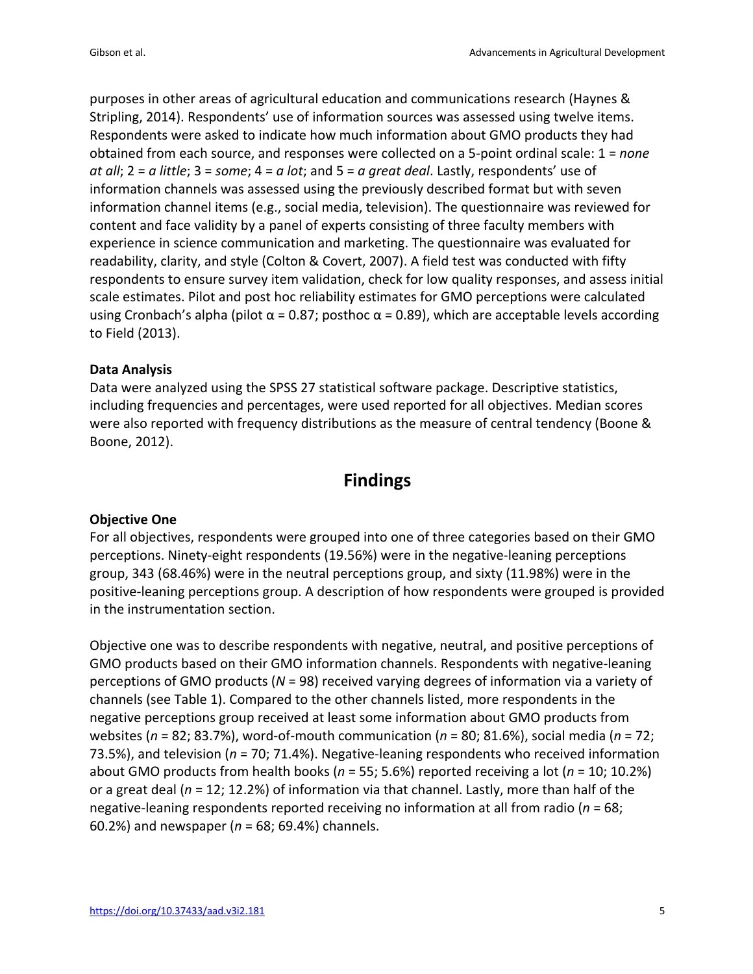purposes in other areas of agricultural education and communications research (Haynes & Stripling, 2014). Respondents' use of information sources was assessed using twelve items. Respondents were asked to indicate how much information about GMO products they had obtained from each source, and responses were collected on a 5-point ordinal scale: 1 = *none at all*; 2 = *a little*; 3 = *some*; 4 = *a lot*; and 5 = *a great deal*. Lastly, respondents' use of information channels was assessed using the previously described format but with seven information channel items (e.g., social media, television). The questionnaire was reviewed for content and face validity by a panel of experts consisting of three faculty members with experience in science communication and marketing. The questionnaire was evaluated for readability, clarity, and style (Colton & Covert, 2007). A field test was conducted with fifty respondents to ensure survey item validation, check for low quality responses, and assess initial scale estimates. Pilot and post hoc reliability estimates for GMO perceptions were calculated using Cronbach's alpha (pilot  $\alpha$  = 0.87; posthoc  $\alpha$  = 0.89), which are acceptable levels according to Field (2013).

#### **Data Analysis**

Data were analyzed using the SPSS 27 statistical software package. Descriptive statistics, including frequencies and percentages, were used reported for all objectives. Median scores were also reported with frequency distributions as the measure of central tendency (Boone & Boone, 2012).

## **Findings**

#### **Objective One**

For all objectives, respondents were grouped into one of three categories based on their GMO perceptions. Ninety-eight respondents (19.56%) were in the negative-leaning perceptions group, 343 (68.46%) were in the neutral perceptions group, and sixty (11.98%) were in the positive-leaning perceptions group. A description of how respondents were grouped is provided in the instrumentation section.

Objective one was to describe respondents with negative, neutral, and positive perceptions of GMO products based on their GMO information channels. Respondents with negative-leaning perceptions of GMO products (*N* = 98) received varying degrees of information via a variety of channels (see Table 1). Compared to the other channels listed, more respondents in the negative perceptions group received at least some information about GMO products from websites (*n* = 82; 83.7%), word-of-mouth communication (*n* = 80; 81.6%), social media (*n* = 72; 73.5%), and television (*n* = 70; 71.4%). Negative-leaning respondents who received information about GMO products from health books (*n* = 55; 5.6%) reported receiving a lot (*n* = 10; 10.2%) or a great deal (*n* = 12; 12.2%) of information via that channel. Lastly, more than half of the negative-leaning respondents reported receiving no information at all from radio (*n* = 68; 60.2%) and newspaper (*n* = 68; 69.4%) channels.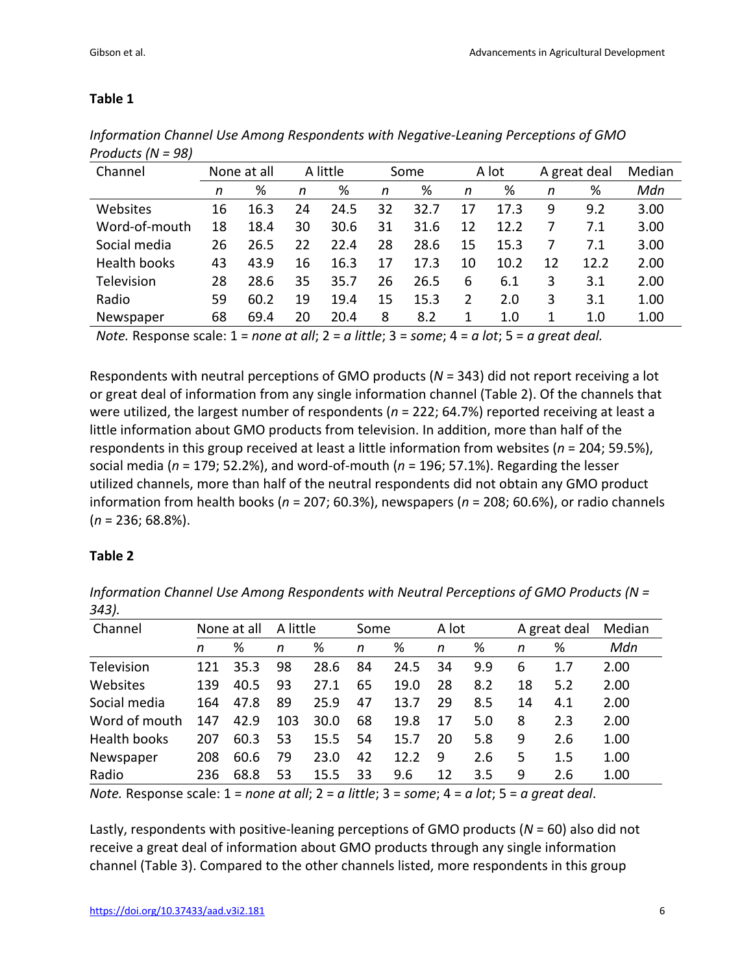| None at all |      | A little |      |    |      |      |      |       |      | Median       |
|-------------|------|----------|------|----|------|------|------|-------|------|--------------|
| n           | %    | n        | %    | n  | %    | n    | %    | n     | %    | Mdn          |
| 16          | 16.3 | 24       | 24.5 | 32 | 32.7 | 17   | 17.3 | 9     | 9.2  | 3.00         |
| 18          | 18.4 | 30       | 30.6 | 31 | 31.6 | 12   | 12.2 |       | 7.1  | 3.00         |
| 26          | 26.5 | 22       | 22.4 | 28 | 28.6 | 15   | 15.3 |       | 7.1  | 3.00         |
| 43          | 43.9 | 16       | 16.3 | 17 | 17.3 | 10   | 10.2 | 12    | 12.2 | 2.00         |
| 28          | 28.6 | 35       | 35.7 | 26 | 26.5 | 6    | 6.1  | 3     | 3.1  | 2.00         |
| 59          | 60.2 | 19       | 19.4 | 15 | 15.3 | 2    | 2.0  | 3     | 3.1  | 1.00         |
| 68          | 69.4 | 20       | 20.4 | 8  | 8.2  |      | 1.0  | 1     | 1.0  | 1.00         |
|             |      |          |      |    |      | Some |      | A lot |      | A great deal |

*Information Channel Use Among Respondents with Negative-Leaning Perceptions of GMO Products (N = 98)*

*Note.* Response scale: 1 = *none at all*; 2 = *a little*; 3 = *some*; 4 = *a lot*; 5 = *a great deal.*

Respondents with neutral perceptions of GMO products (*N* = 343) did not report receiving a lot or great deal of information from any single information channel (Table 2). Of the channels that were utilized, the largest number of respondents (*n* = 222; 64.7%) reported receiving at least a little information about GMO products from television. In addition, more than half of the respondents in this group received at least a little information from websites (*n* = 204; 59.5%), social media (*n* = 179; 52.2%), and word-of-mouth (*n* = 196; 57.1%). Regarding the lesser utilized channels, more than half of the neutral respondents did not obtain any GMO product information from health books (*n* = 207; 60.3%), newspapers (*n* = 208; 60.6%), or radio channels (*n* = 236; 68.8%).

### **Table 2**

*Information Channel Use Among Respondents with Neutral Perceptions of GMO Products (N = 343).*

| Channel       | None at all |      | A little |      | Some |      |    | A lot |    | A great deal | Median |
|---------------|-------------|------|----------|------|------|------|----|-------|----|--------------|--------|
|               | n           | %    | n        | %    | n    | %    | n  | %     | n  | %            | Mdn    |
| Television    | 121         | 35.3 | 98       | 28.6 | 84   | 24.5 | 34 | 9.9   | 6  | 1.7          | 2.00   |
| Websites      | 139         | 40.5 | 93       | 27.1 | 65   | 19.0 | 28 | 8.2   | 18 | 5.2          | 2.00   |
| Social media  | 164         | 47.8 | 89       | 25.9 | 47   | 13.7 | 29 | 8.5   | 14 | 4.1          | 2.00   |
| Word of mouth | 147         | 42.9 | 103      | 30.0 | 68   | 19.8 | 17 | 5.0   | 8  | 2.3          | 2.00   |
| Health books  | 207         | 60.3 | 53       | 15.5 | 54   | 15.7 | 20 | 5.8   | 9  | 2.6          | 1.00   |
| Newspaper     | 208         | 60.6 | 79       | 23.0 | 42   | 12.2 | 9  | 2.6   | 5  | 1.5          | 1.00   |
| Radio         | 236         | 68.8 | 53       | 15.5 | 33   | 9.6  | 12 | 3.5   | 9  | 2.6          | 1.00   |

*Note.* Response scale: 1 = *none at all*; 2 = *a little*; 3 = *some*; 4 = *a lot*; 5 = *a great deal*.

Lastly, respondents with positive-leaning perceptions of GMO products (*N* = 60) also did not receive a great deal of information about GMO products through any single information channel (Table 3). Compared to the other channels listed, more respondents in this group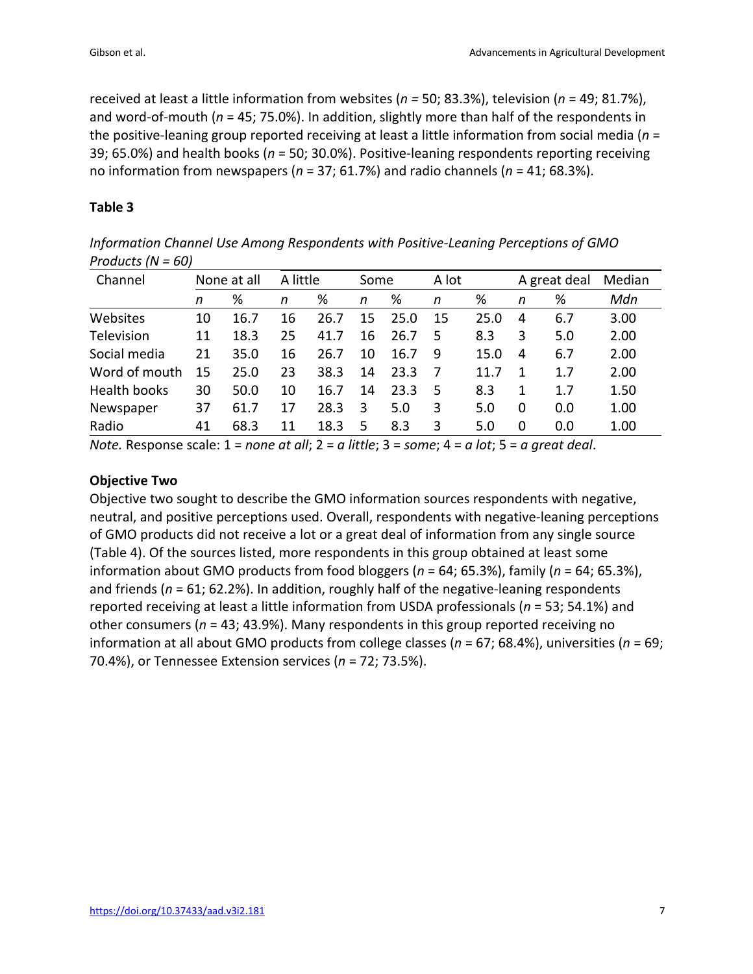received at least a little information from websites (*n =* 50; 83.3%), television (*n* = 49; 81.7%), and word-of-mouth (*n* = 45; 75.0%). In addition, slightly more than half of the respondents in the positive-leaning group reported receiving at least a little information from social media (*n* = 39; 65.0%) and health books (*n* = 50; 30.0%). Positive-leaning respondents reporting receiving no information from newspapers (*n* = 37; 61.7%) and radio channels (*n* = 41; 68.3%).

#### **Table 3**

*Information Channel Use Among Respondents with Positive-Leaning Perceptions of GMO Products (N = 60)*

| Channel       |    | None at all |    | A little |    | Some |    | A lot |   | A great deal | Median |
|---------------|----|-------------|----|----------|----|------|----|-------|---|--------------|--------|
|               | n  | %           | n  | %        | n  | %    | n  | %     | n | %            | Mdn    |
| Websites      | 10 | 16.7        | 16 | 26.7     | 15 | 25.0 | 15 | 25.0  | 4 | 6.7          | 3.00   |
| Television    | 11 | 18.3        | 25 | 41.7     | 16 | 26.7 | 5  | 8.3   | 3 | 5.0          | 2.00   |
| Social media  | 21 | 35.0        | 16 | 26.7     | 10 | 16.7 | 9  | 15.0  | 4 | 6.7          | 2.00   |
| Word of mouth | 15 | 25.0        | 23 | 38.3     | 14 | 23.3 | 7  | 11.7  | 1 | 1.7          | 2.00   |
| Health books  | 30 | 50.0        | 10 | 16.7     | 14 | 23.3 | 5  | 8.3   | 1 | 1.7          | 1.50   |
| Newspaper     | 37 | 61.7        | 17 | 28.3     | 3  | 5.0  | 3  | 5.0   | 0 | 0.0          | 1.00   |
| Radio         | 41 | 68.3        | 11 | 18.3     | 5  | 8.3  | 3  | 5.0   | 0 | 0.0          | 1.00   |

*Note.* Response scale: 1 = *none at all*; 2 = *a little*; 3 = *some*; 4 = *a lot*; 5 = *a great deal*.

#### **Objective Two**

Objective two sought to describe the GMO information sources respondents with negative, neutral, and positive perceptions used. Overall, respondents with negative-leaning perceptions of GMO products did not receive a lot or a great deal of information from any single source (Table 4). Of the sources listed, more respondents in this group obtained at least some information about GMO products from food bloggers (*n* = 64; 65.3%), family (*n* = 64; 65.3%), and friends ( $n = 61$ ; 62.2%). In addition, roughly half of the negative-leaning respondents reported receiving at least a little information from USDA professionals (*n* = 53; 54.1%) and other consumers (*n* = 43; 43.9%). Many respondents in this group reported receiving no information at all about GMO products from college classes (*n* = 67; 68.4%), universities (*n* = 69; 70.4%), or Tennessee Extension services (*n* = 72; 73.5%).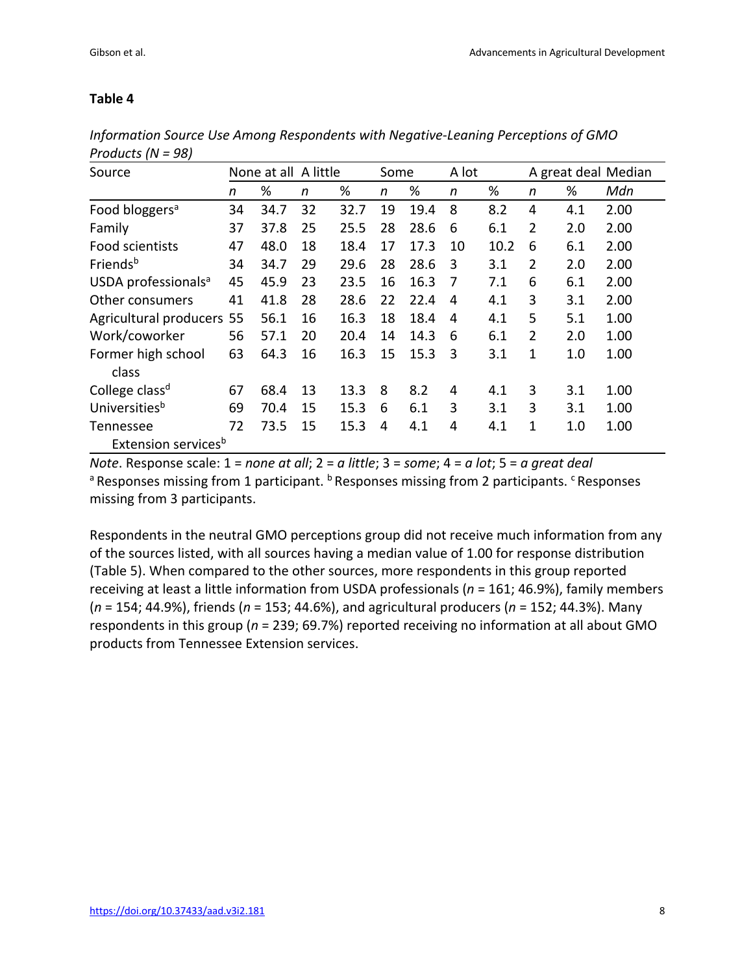| Source                          | None at all A little |      |    |      |    | Some |    | A lot |                |     | A great deal Median |
|---------------------------------|----------------------|------|----|------|----|------|----|-------|----------------|-----|---------------------|
|                                 | n                    | %    | n  | %    | n  | %    | n  | %     | n              | %   | Mdn                 |
| Food bloggers <sup>a</sup>      | 34                   | 34.7 | 32 | 32.7 | 19 | 19.4 | 8  | 8.2   | 4              | 4.1 | 2.00                |
| Family                          | 37                   | 37.8 | 25 | 25.5 | 28 | 28.6 | 6  | 6.1   | $\overline{2}$ | 2.0 | 2.00                |
| Food scientists                 | 47                   | 48.0 | 18 | 18.4 | 17 | 17.3 | 10 | 10.2  | 6              | 6.1 | 2.00                |
| Friends <sup>b</sup>            | 34                   | 34.7 | 29 | 29.6 | 28 | 28.6 | 3  | 3.1   | $\overline{2}$ | 2.0 | 2.00                |
| USDA professionals <sup>a</sup> | 45                   | 45.9 | 23 | 23.5 | 16 | 16.3 | 7  | 7.1   | 6              | 6.1 | 2.00                |
| Other consumers                 | 41                   | 41.8 | 28 | 28.6 | 22 | 22.4 | 4  | 4.1   | 3              | 3.1 | 2.00                |
| Agricultural producers          | 55                   | 56.1 | 16 | 16.3 | 18 | 18.4 | 4  | 4.1   | 5              | 5.1 | 1.00                |
| Work/coworker                   | 56                   | 57.1 | 20 | 20.4 | 14 | 14.3 | 6  | 6.1   | 2              | 2.0 | 1.00                |
| Former high school              | 63                   | 64.3 | 16 | 16.3 | 15 | 15.3 | 3  | 3.1   | 1              | 1.0 | 1.00                |
| class                           |                      |      |    |      |    |      |    |       |                |     |                     |
| College class <sup>d</sup>      | 67                   | 68.4 | 13 | 13.3 | 8  | 8.2  | 4  | 4.1   | 3              | 3.1 | 1.00                |
| Universities <sup>b</sup>       | 69                   | 70.4 | 15 | 15.3 | 6  | 6.1  | 3  | 3.1   | 3              | 3.1 | 1.00                |
| Tennessee                       | 72                   | 73.5 | 15 | 15.3 | 4  | 4.1  | 4  | 4.1   | 1              | 1.0 | 1.00                |
| Extension services <sup>b</sup> |                      |      |    |      |    |      |    |       |                |     |                     |

*Information Source Use Among Respondents with Negative-Leaning Perceptions of GMO Products (N = 98)*

*Note*. Response scale: 1 = *none at all*; 2 = *a little*; 3 = *some*; 4 = *a lot*; 5 = *a great deal* a Responses missing from 1 participant. **b Responses missing from 2 participants.** CResponses missing from 3 participants.

Respondents in the neutral GMO perceptions group did not receive much information from any of the sources listed, with all sources having a median value of 1.00 for response distribution (Table 5). When compared to the other sources, more respondents in this group reported receiving at least a little information from USDA professionals (*n* = 161; 46.9%), family members (*n* = 154; 44.9%), friends (*n* = 153; 44.6%), and agricultural producers (*n* = 152; 44.3%). Many respondents in this group (*n* = 239; 69.7%) reported receiving no information at all about GMO products from Tennessee Extension services.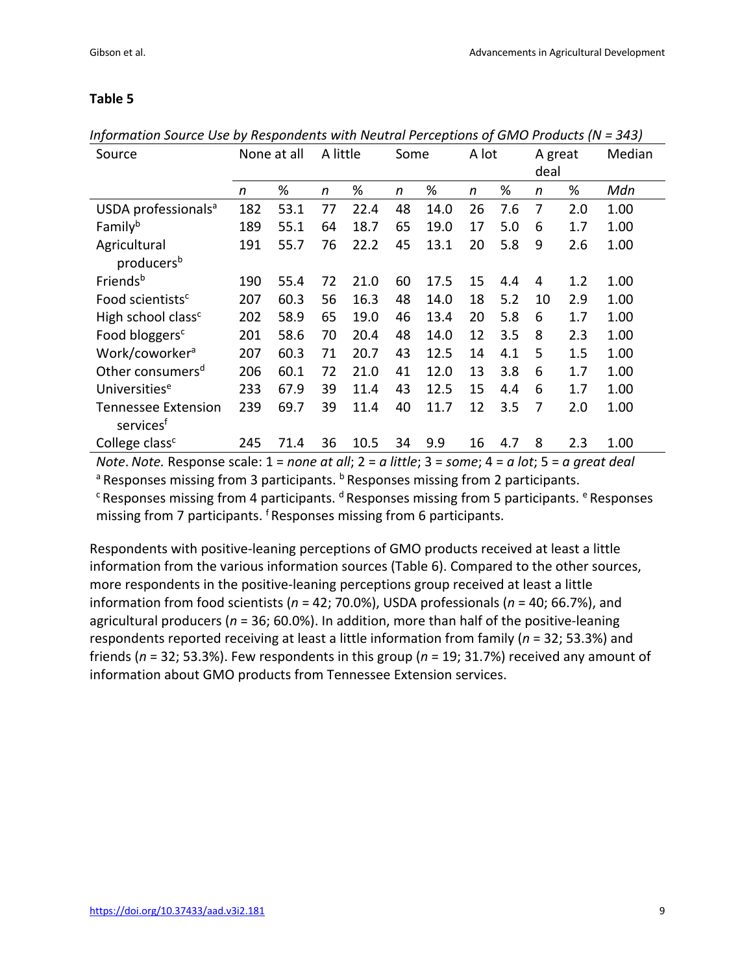| Source                          | None at all |      | A little |      |              | Some |              | A lot |    | A great | Median |
|---------------------------------|-------------|------|----------|------|--------------|------|--------------|-------|----|---------|--------|
|                                 |             |      |          |      |              |      |              |       |    | deal    |        |
|                                 | n           | %    | n        | %    | $\mathsf{n}$ | %    | $\mathsf{n}$ | %     | n  | %       | Mdn    |
| USDA professionals <sup>a</sup> | 182         | 53.1 | 77       | 22.4 | 48           | 14.0 | 26           | 7.6   | 7  | 2.0     | 1.00   |
| Familyb                         | 189         | 55.1 | 64       | 18.7 | 65           | 19.0 | 17           | 5.0   | 6  | 1.7     | 1.00   |
| Agricultural                    | 191         | 55.7 | 76       | 22.2 | 45           | 13.1 | 20           | 5.8   | 9  | 2.6     | 1.00   |
| producers <sup>b</sup>          |             |      |          |      |              |      |              |       |    |         |        |
| Friends <sup>b</sup>            | 190         | 55.4 | 72       | 21.0 | 60           | 17.5 | 15           | 4.4   | 4  | 1.2     | 1.00   |
| Food scientists <sup>c</sup>    | 207         | 60.3 | 56       | 16.3 | 48           | 14.0 | 18           | 5.2   | 10 | 2.9     | 1.00   |
| High school class <sup>c</sup>  | 202         | 58.9 | 65       | 19.0 | 46           | 13.4 | 20           | 5.8   | 6  | 1.7     | 1.00   |
| Food bloggers <sup>c</sup>      | 201         | 58.6 | 70       | 20.4 | 48           | 14.0 | 12           | 3.5   | 8  | 2.3     | 1.00   |
| Work/coworker <sup>a</sup>      | 207         | 60.3 | 71       | 20.7 | 43           | 12.5 | 14           | 4.1   | 5  | 1.5     | 1.00   |
| Other consumers <sup>d</sup>    | 206         | 60.1 | 72       | 21.0 | 41           | 12.0 | 13           | 3.8   | 6  | 1.7     | 1.00   |
| Universities <sup>e</sup>       | 233         | 67.9 | 39       | 11.4 | 43           | 12.5 | 15           | 4.4   | 6  | 1.7     | 1.00   |
| <b>Tennessee Extension</b>      | 239         | 69.7 | 39       | 11.4 | 40           | 11.7 | 12           | 3.5   | 7  | 2.0     | 1.00   |
| services <sup>t</sup>           |             |      |          |      |              |      |              |       |    |         |        |
| College class <sup>c</sup>      | 245         | 71.4 | 36       | 10.5 | 34           | 9.9  | 16           | 4.7   | 8  | 2.3     | 1.00   |

*Information Source Use by Respondents with Neutral Perceptions of GMO Products (N = 343)* 

*Note*. *Note.* Response scale: 1 = *none at all*; 2 = *a little*; 3 = *some*; 4 = *a lot*; 5 = *a great deal*

<sup>a</sup> Responses missing from 3 participants. <sup>b</sup> Responses missing from 2 participants.

 $\epsilon$  Responses missing from 4 participants.  $\text{d}$  Responses missing from 5 participants.  $\text{e}$  Responses missing from 7 participants. <sup>f</sup> Responses missing from 6 participants.

Respondents with positive-leaning perceptions of GMO products received at least a little information from the various information sources (Table 6). Compared to the other sources, more respondents in the positive-leaning perceptions group received at least a little information from food scientists (*n* = 42; 70.0%), USDA professionals (*n* = 40; 66.7%), and agricultural producers (*n* = 36; 60.0%). In addition, more than half of the positive-leaning respondents reported receiving at least a little information from family (*n* = 32; 53.3%) and friends (*n* = 32; 53.3%). Few respondents in this group (*n* = 19; 31.7%) received any amount of information about GMO products from Tennessee Extension services.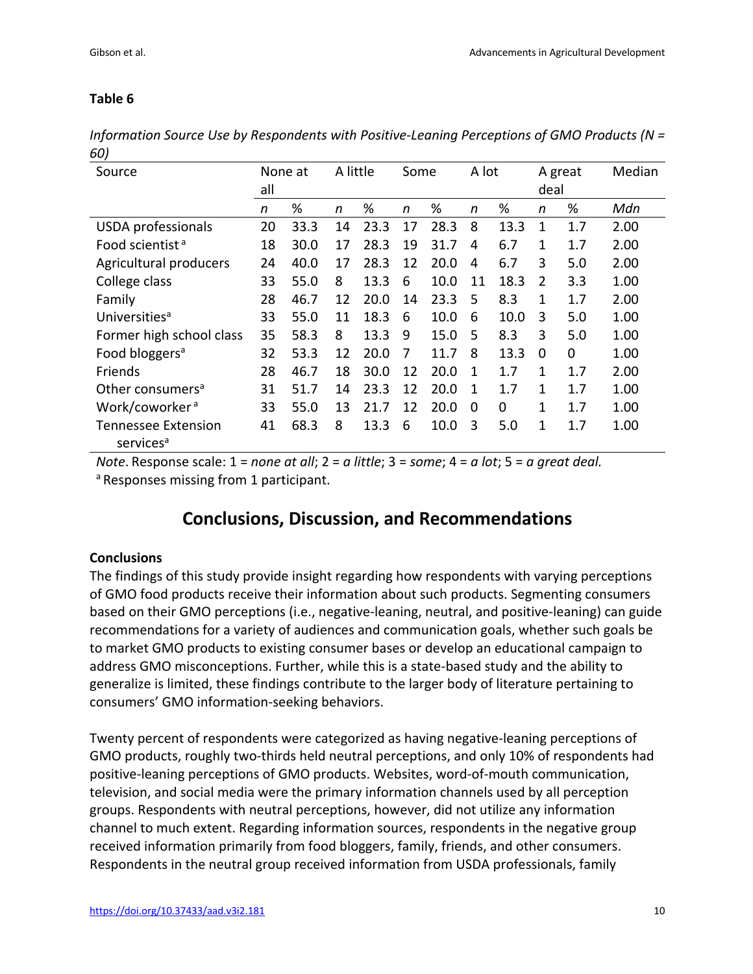*Information Source Use by Respondents with Positive-Leaning Perceptions of GMO Products (N = 60)*

| Source                       | None at<br>all |      | A little |      | Some |      | A lot        |      | A great<br>deal |     | Median |
|------------------------------|----------------|------|----------|------|------|------|--------------|------|-----------------|-----|--------|
|                              |                |      |          |      |      |      |              |      |                 |     |        |
|                              | n              | %    | n        | %    | n    | %    | n            | %    | n               | %   | Mdn    |
| <b>USDA</b> professionals    | 20             | 33.3 | 14       | 23.3 | 17   | 28.3 | 8            | 13.3 | 1               | 1.7 | 2.00   |
| Food scientist <sup>a</sup>  | 18             | 30.0 | 17       | 28.3 | 19   | 31.7 | 4            | 6.7  | 1               | 1.7 | 2.00   |
| Agricultural producers       | 24             | 40.0 | 17       | 28.3 | 12   | 20.0 | 4            | 6.7  | 3               | 5.0 | 2.00   |
| College class                | 33             | 55.0 | 8        | 13.3 | 6    | 10.0 | 11           | 18.3 | 2               | 3.3 | 1.00   |
| Family                       | 28             | 46.7 | 12       | 20.0 | 14   | 23.3 | 5            | 8.3  | 1               | 1.7 | 2.00   |
| Universities <sup>a</sup>    | 33             | 55.0 | 11       | 18.3 | 6    | 10.0 | 6            | 10.0 | 3               | 5.0 | 1.00   |
| Former high school class     | 35             | 58.3 | 8        | 13.3 | 9    | 15.0 | 5            | 8.3  | 3               | 5.0 | 1.00   |
| Food bloggers <sup>a</sup>   | 32             | 53.3 | 12       | 20.0 | 7    | 11.7 | 8            | 13.3 | 0               | 0   | 1.00   |
| <b>Friends</b>               | 28             | 46.7 | 18       | 30.0 | 12   | 20.0 | $\mathbf{1}$ | 1.7  | $\mathbf{1}$    | 1.7 | 2.00   |
| Other consumers <sup>a</sup> | 31             | 51.7 | 14       | 23.3 | 12   | 20.0 | $\mathbf{1}$ | 1.7  | 1               | 1.7 | 1.00   |
| Work/coworker <sup>a</sup>   | 33             | 55.0 | 13       | 21.7 | 12   | 20.0 | 0            | 0    | $\mathbf{1}$    | 1.7 | 1.00   |
| <b>Tennessee Extension</b>   | 41             | 68.3 | 8        | 13.3 | 6    | 10.0 | 3            | 5.0  | 1               | 1.7 | 1.00   |
| services <sup>a</sup>        |                |      |          |      |      |      |              |      |                 |     |        |

*Note*. Response scale: 1 = *none at all*; 2 = *a little*; 3 = *some*; 4 = *a lot*; 5 = *a great deal.*

a Responses missing from 1 participant.

### **Conclusions, Discussion, and Recommendations**

#### **Conclusions**

The findings of this study provide insight regarding how respondents with varying perceptions of GMO food products receive their information about such products. Segmenting consumers based on their GMO perceptions (i.e., negative-leaning, neutral, and positive-leaning) can guide recommendations for a variety of audiences and communication goals, whether such goals be to market GMO products to existing consumer bases or develop an educational campaign to address GMO misconceptions. Further, while this is a state-based study and the ability to generalize is limited, these findings contribute to the larger body of literature pertaining to consumers' GMO information-seeking behaviors.

Twenty percent of respondents were categorized as having negative-leaning perceptions of GMO products, roughly two-thirds held neutral perceptions, and only 10% of respondents had positive-leaning perceptions of GMO products. Websites, word-of-mouth communication, television, and social media were the primary information channels used by all perception groups. Respondents with neutral perceptions, however, did not utilize any information channel to much extent. Regarding information sources, respondents in the negative group received information primarily from food bloggers, family, friends, and other consumers. Respondents in the neutral group received information from USDA professionals, family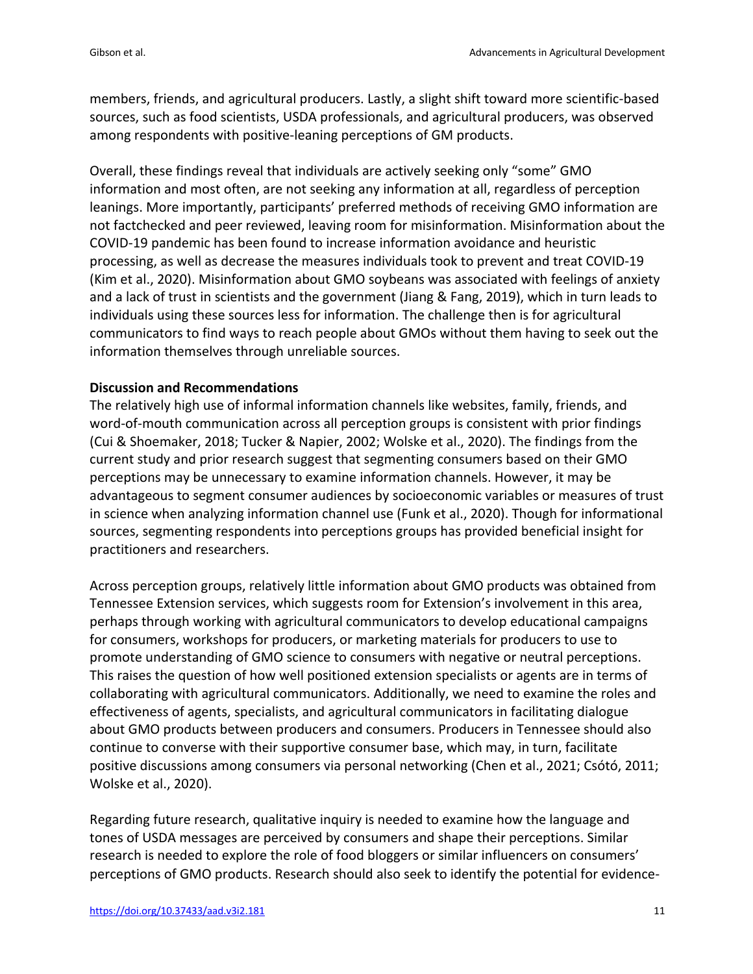members, friends, and agricultural producers. Lastly, a slight shift toward more scientific-based sources, such as food scientists, USDA professionals, and agricultural producers, was observed among respondents with positive-leaning perceptions of GM products.

Overall, these findings reveal that individuals are actively seeking only "some" GMO information and most often, are not seeking any information at all, regardless of perception leanings. More importantly, participants' preferred methods of receiving GMO information are not factchecked and peer reviewed, leaving room for misinformation. Misinformation about the COVID-19 pandemic has been found to increase information avoidance and heuristic processing, as well as decrease the measures individuals took to prevent and treat COVID-19 (Kim et al., 2020). Misinformation about GMO soybeans was associated with feelings of anxiety and a lack of trust in scientists and the government (Jiang & Fang, 2019), which in turn leads to individuals using these sources less for information. The challenge then is for agricultural communicators to find ways to reach people about GMOs without them having to seek out the information themselves through unreliable sources.

#### **Discussion and Recommendations**

The relatively high use of informal information channels like websites, family, friends, and word-of-mouth communication across all perception groups is consistent with prior findings (Cui & Shoemaker, 2018; Tucker & Napier, 2002; Wolske et al., 2020). The findings from the current study and prior research suggest that segmenting consumers based on their GMO perceptions may be unnecessary to examine information channels. However, it may be advantageous to segment consumer audiences by socioeconomic variables or measures of trust in science when analyzing information channel use (Funk et al., 2020). Though for informational sources, segmenting respondents into perceptions groups has provided beneficial insight for practitioners and researchers.

Across perception groups, relatively little information about GMO products was obtained from Tennessee Extension services, which suggests room for Extension's involvement in this area, perhaps through working with agricultural communicators to develop educational campaigns for consumers, workshops for producers, or marketing materials for producers to use to promote understanding of GMO science to consumers with negative or neutral perceptions. This raises the question of how well positioned extension specialists or agents are in terms of collaborating with agricultural communicators. Additionally, we need to examine the roles and effectiveness of agents, specialists, and agricultural communicators in facilitating dialogue about GMO products between producers and consumers. Producers in Tennessee should also continue to converse with their supportive consumer base, which may, in turn, facilitate positive discussions among consumers via personal networking (Chen et al., 2021; Csótó, 2011; Wolske et al., 2020).

Regarding future research, qualitative inquiry is needed to examine how the language and tones of USDA messages are perceived by consumers and shape their perceptions. Similar research is needed to explore the role of food bloggers or similar influencers on consumers' perceptions of GMO products. Research should also seek to identify the potential for evidence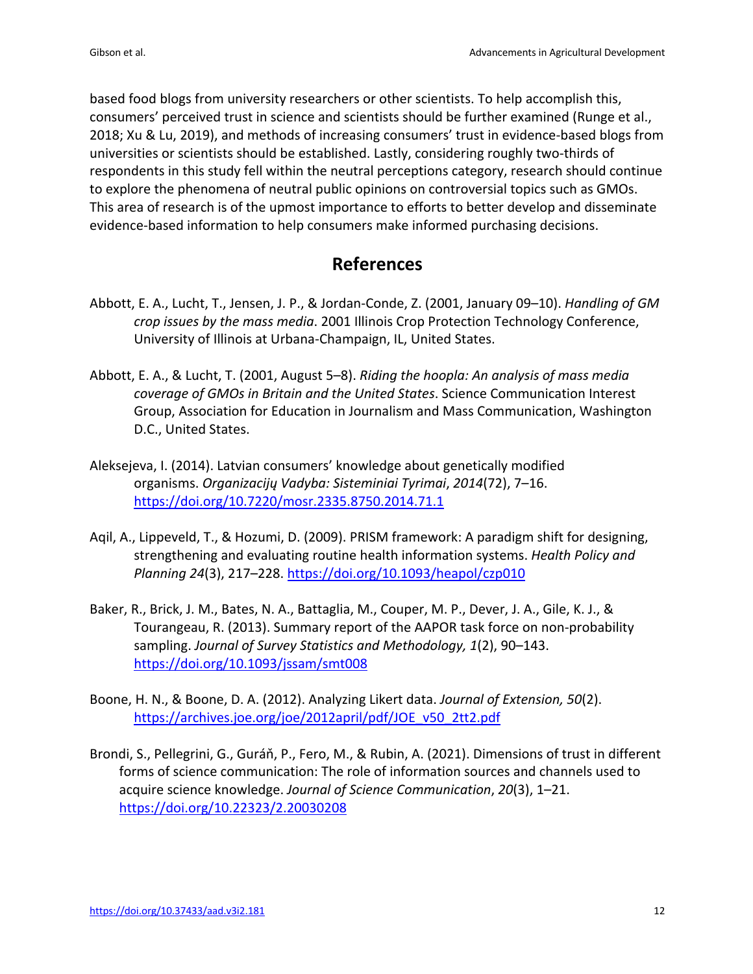based food blogs from university researchers or other scientists. To help accomplish this, consumers' perceived trust in science and scientists should be further examined (Runge et al., 2018; Xu & Lu, 2019), and methods of increasing consumers' trust in evidence-based blogs from universities or scientists should be established. Lastly, considering roughly two-thirds of respondents in this study fell within the neutral perceptions category, research should continue to explore the phenomena of neutral public opinions on controversial topics such as GMOs. This area of research is of the upmost importance to efforts to better develop and disseminate evidence-based information to help consumers make informed purchasing decisions.

## **References**

- Abbott, E. A., Lucht, T., Jensen, J. P., & Jordan-Conde, Z. (2001, January 09–10). *Handling of GM crop issues by the mass media*. 2001 Illinois Crop Protection Technology Conference, University of Illinois at Urbana-Champaign, IL, United States.
- Abbott, E. A., & Lucht, T. (2001, August 5–8). *Riding the hoopla: An analysis of mass media coverage of GMOs in Britain and the United States*. Science Communication Interest Group, Association for Education in Journalism and Mass Communication, Washington D.C., United States.
- Aleksejeva, I. (2014). Latvian consumers' knowledge about genetically modified organisms. *Organizacijų Vadyba: Sisteminiai Tyrimai*, *2014*(72), 7–16. https://doi.org/10.7220/mosr.2335.8750.2014.71.1
- Aqil, A., Lippeveld, T., & Hozumi, D. (2009). PRISM framework: A paradigm shift for designing, strengthening and evaluating routine health information systems. *Health Policy and Planning 24*(3), 217–228. https://doi.org/10.1093/heapol/czp010
- Baker, R., Brick, J. M., Bates, N. A., Battaglia, M., Couper, M. P., Dever, J. A., Gile, K. J., & Tourangeau, R. (2013). Summary report of the AAPOR task force on non-probability sampling. *Journal of Survey Statistics and Methodology, 1*(2), 90–143. https://doi.org/10.1093/jssam/smt008
- Boone, H. N., & Boone, D. A. (2012). Analyzing Likert data. *Journal of Extension, 50*(2). https://archives.joe.org/joe/2012april/pdf/JOE\_v50\_2tt2.pdf
- Brondi, S., Pellegrini, G., Guráň, P., Fero, M., & Rubin, A. (2021). Dimensions of trust in different forms of science communication: The role of information sources and channels used to acquire science knowledge. *Journal of Science Communication*, *20*(3), 1–21. https://doi.org/10.22323/2.20030208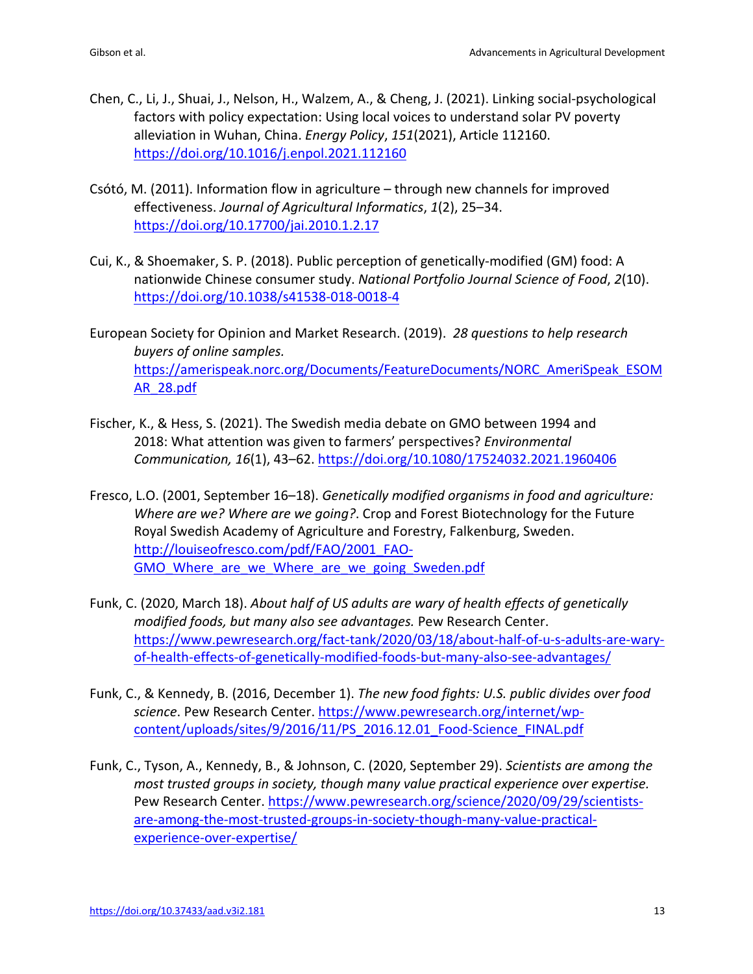- Chen, C., Li, J., Shuai, J., Nelson, H., Walzem, A., & Cheng, J. (2021). Linking social-psychological factors with policy expectation: Using local voices to understand solar PV poverty alleviation in Wuhan, China. *Energy Policy*, *151*(2021), Article 112160. https://doi.org/10.1016/j.enpol.2021.112160
- Csótó, M. (2011). Information flow in agriculture through new channels for improved effectiveness. *Journal of Agricultural Informatics*, *1*(2), 25–34. https://doi.org/10.17700/jai.2010.1.2.17
- Cui, K., & Shoemaker, S. P. (2018). Public perception of genetically-modified (GM) food: A nationwide Chinese consumer study. *National Portfolio Journal Science of Food*, *2*(10). https://doi.org/10.1038/s41538-018-0018-4

European Society for Opinion and Market Research. (2019). *28 questions to help research buyers of online samples.*  https://amerispeak.norc.org/Documents/FeatureDocuments/NORC\_AmeriSpeak\_ESOM AR\_28.pdf

- Fischer, K., & Hess, S. (2021). The Swedish media debate on GMO between 1994 and 2018: What attention was given to farmers' perspectives? *Environmental Communication, 16*(1), 43–62. https://doi.org/10.1080/17524032.2021.1960406
- Fresco, L.O. (2001, September 16–18). *Genetically modified organisms in food and agriculture: Where are we? Where are we going?*. Crop and Forest Biotechnology for the Future Royal Swedish Academy of Agriculture and Forestry, Falkenburg, Sweden. http://louiseofresco.com/pdf/FAO/2001\_FAO-GMO\_Where\_are\_we\_Where\_are\_we\_going\_Sweden.pdf
- Funk, C. (2020, March 18). *About half of US adults are wary of health effects of genetically modified foods, but many also see advantages.* Pew Research Center. https://www.pewresearch.org/fact-tank/2020/03/18/about-half-of-u-s-adults-are-waryof-health-effects-of-genetically-modified-foods-but-many-also-see-advantages/
- Funk, C., & Kennedy, B. (2016, December 1). *The new food fights: U.S. public divides over food science*. Pew Research Center. https://www.pewresearch.org/internet/wpcontent/uploads/sites/9/2016/11/PS\_2016.12.01\_Food-Science\_FINAL.pdf
- Funk, C., Tyson, A., Kennedy, B., & Johnson, C. (2020, September 29). *Scientists are among the most trusted groups in society, though many value practical experience over expertise.* Pew Research Center. https://www.pewresearch.org/science/2020/09/29/scientistsare-among-the-most-trusted-groups-in-society-though-many-value-practicalexperience-over-expertise/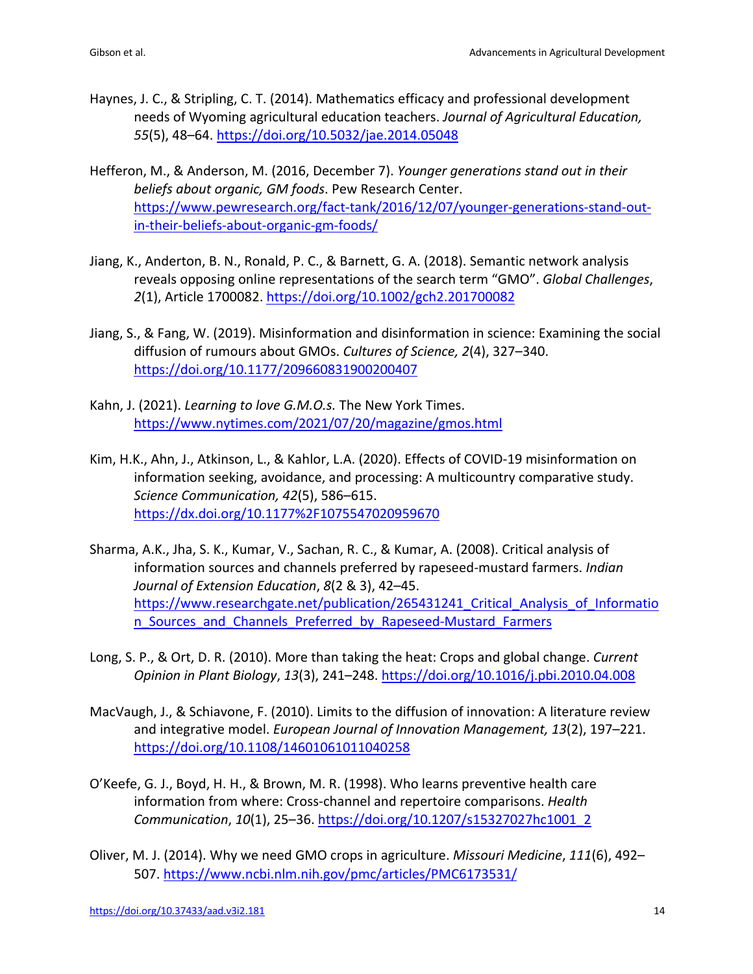- Haynes, J. C., & Stripling, C. T. (2014). Mathematics efficacy and professional development needs of Wyoming agricultural education teachers. *Journal of Agricultural Education, 55*(5), 48–64. https://doi.org/10.5032/jae.2014.05048
- Hefferon, M., & Anderson, M. (2016, December 7). *Younger generations stand out in their beliefs about organic, GM foods*. Pew Research Center. https://www.pewresearch.org/fact-tank/2016/12/07/younger-generations-stand-outin-their-beliefs-about-organic-gm-foods/
- Jiang, K., Anderton, B. N., Ronald, P. C., & Barnett, G. A. (2018). Semantic network analysis reveals opposing online representations of the search term "GMO". *Global Challenges*, *2*(1), Article 1700082. https://doi.org/10.1002/gch2.201700082
- Jiang, S., & Fang, W. (2019). Misinformation and disinformation in science: Examining the social diffusion of rumours about GMOs. *Cultures of Science, 2*(4), 327–340. https://doi.org/10.1177/209660831900200407
- Kahn, J. (2021). *Learning to love G.M.O.s.* The New York Times. https://www.nytimes.com/2021/07/20/magazine/gmos.html
- Kim, H.K., Ahn, J., Atkinson, L., & Kahlor, L.A. (2020). Effects of COVID-19 misinformation on information seeking, avoidance, and processing: A multicountry comparative study. *Science Communication, 42*(5), 586–615. https://dx.doi.org/10.1177%2F1075547020959670
- Sharma, A.K., Jha, S. K., Kumar, V., Sachan, R. C., & Kumar, A. (2008). Critical analysis of information sources and channels preferred by rapeseed-mustard farmers. *Indian Journal of Extension Education*, *8*(2 & 3), 42–45. https://www.researchgate.net/publication/265431241\_Critical\_Analysis\_of\_Informatio n Sources and Channels Preferred by Rapeseed-Mustard Farmers
- Long, S. P., & Ort, D. R. (2010). More than taking the heat: Crops and global change. *Current Opinion in Plant Biology*, *13*(3), 241–248. https://doi.org/10.1016/j.pbi.2010.04.008
- MacVaugh, J., & Schiavone, F. (2010). Limits to the diffusion of innovation: A literature review and integrative model. *European Journal of Innovation Management, 13*(2), 197–221. https://doi.org/10.1108/14601061011040258
- O'Keefe, G. J., Boyd, H. H., & Brown, M. R. (1998). Who learns preventive health care information from where: Cross-channel and repertoire comparisons. *Health Communication*, *10*(1), 25–36. https://doi.org/10.1207/s15327027hc1001\_2
- Oliver, M. J. (2014). Why we need GMO crops in agriculture. *Missouri Medicine*, *111*(6), 492– 507. https://www.ncbi.nlm.nih.gov/pmc/articles/PMC6173531/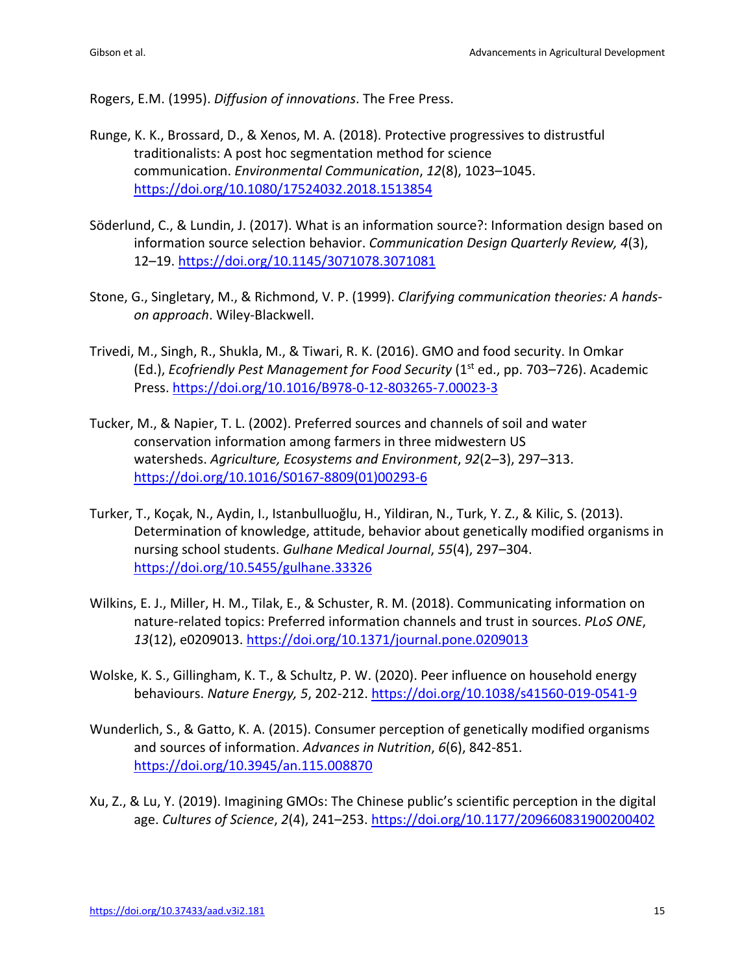Rogers, E.M. (1995). *Diffusion of innovations*. The Free Press.

- Runge, K. K., Brossard, D., & Xenos, M. A. (2018). Protective progressives to distrustful traditionalists: A post hoc segmentation method for science communication. *Environmental Communication*, *12*(8), 1023–1045. https://doi.org/10.1080/17524032.2018.1513854
- Söderlund, C., & Lundin, J. (2017). What is an information source?: Information design based on information source selection behavior. *Communication Design Quarterly Review, 4*(3), 12–19. https://doi.org/10.1145/3071078.3071081
- Stone, G., Singletary, M., & Richmond, V. P. (1999). *Clarifying communication theories: A handson approach*. Wiley-Blackwell.
- Trivedi, M., Singh, R., Shukla, M., & Tiwari, R. K. (2016). GMO and food security. In Omkar (Ed.), *Ecofriendly Pest Management for Food Security* (1st ed., pp. 703–726). Academic Press. https://doi.org/10.1016/B978-0-12-803265-7.00023-3
- Tucker, M., & Napier, T. L. (2002). Preferred sources and channels of soil and water conservation information among farmers in three midwestern US watersheds. *Agriculture, Ecosystems and Environment*, *92*(2–3), 297–313. https://doi.org/10.1016/S0167-8809(01)00293-6
- Turker, T., Koçak, N., Aydin, I., Istanbulluoğlu, H., Yildiran, N., Turk, Y. Z., & Kilic, S. (2013). Determination of knowledge, attitude, behavior about genetically modified organisms in nursing school students. *Gulhane Medical Journal*, *55*(4), 297–304. https://doi.org/10.5455/gulhane.33326
- Wilkins, E. J., Miller, H. M., Tilak, E., & Schuster, R. M. (2018). Communicating information on nature-related topics: Preferred information channels and trust in sources. *PLoS ONE*, *13*(12), e0209013. https://doi.org/10.1371/journal.pone.0209013
- Wolske, K. S., Gillingham, K. T., & Schultz, P. W. (2020). Peer influence on household energy behaviours. *Nature Energy, 5*, 202-212. https://doi.org/10.1038/s41560-019-0541-9
- Wunderlich, S., & Gatto, K. A. (2015). Consumer perception of genetically modified organisms and sources of information. *Advances in Nutrition*, *6*(6), 842-851. https://doi.org/10.3945/an.115.008870
- Xu, Z., & Lu, Y. (2019). Imagining GMOs: The Chinese public's scientific perception in the digital age. *Cultures of Science*, *2*(4), 241–253. https://doi.org/10.1177/209660831900200402